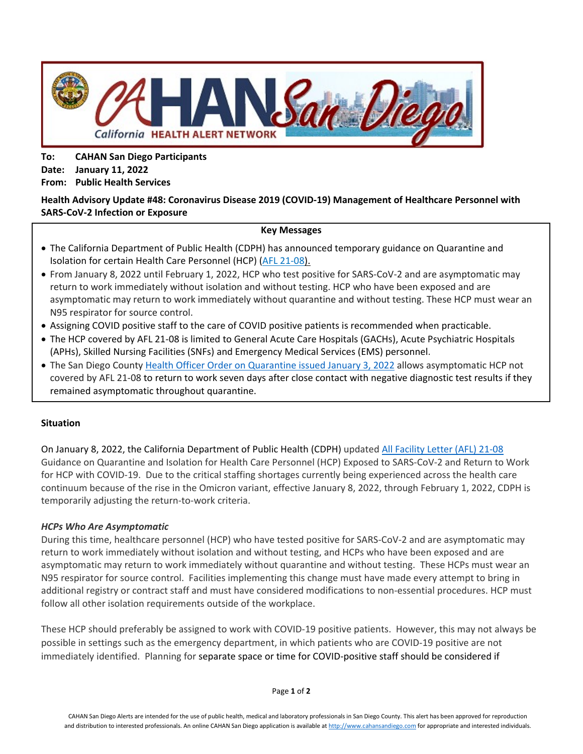

**To: CAHAN San Diego Participants Date: January 11, 2022 From: Public Health Services**

# **Health Advisory Update #48: Coronavirus Disease 2019 (COVID-19) Management of Healthcare Personnel with SARS-CoV-2 Infection or Exposure**

#### **Key Messages**

- The California Department of Public Health (CDPH) has announced temporary guidance on Quarantine and Isolation for certain Health Care Personnel (HCP) [\(AFL 21-08\)](https://www.cdph.ca.gov/Programs/CHCQ/LCP/Pages/AFL-21-08.aspx).
- From January 8, 2022 until February 1, 2022, HCP who test positive for SARS-CoV-2 and are asymptomatic may return to work immediately without isolation and without testing. HCP who have been exposed and are asymptomatic may return to work immediately without quarantine and without testing. These HCP must wear an N95 respirator for source control.
- Assigning COVID positive staff to the care of COVID positive patients is recommended when practicable.
- The HCP covered by AFL 21-08 is limited to General Acute Care Hospitals (GACHs), Acute Psychiatric Hospitals (APHs), Skilled Nursing Facilities (SNFs) and Emergency Medical Services (EMS) personnel.
- The San Diego County [Health Officer Order](https://www.sandiegocounty.gov/content/dam/sdc/hhsa/programs/phs/Epidemiology/covid19/HealthOfficerOrder-Quarantine.pdf) on Quarantine issued January 3, 2022 allows asymptomatic HCP not covered by AFL 21-08 to return to work seven days after close contact with negative diagnostic test results if they remained asymptomatic throughout quarantine.

## **Situation**

On January 8, 2022, the California Department of Public Health (CDPH) updated [All Facility Letter](https://www.cdph.ca.gov/Programs/CHCQ/LCP/Pages/AFL-21-08.aspx) (AFL) 21-08 Guidance on Quarantine and Isolation for Health Care Personnel (HCP) Exposed to SARS-CoV-2 and Return to Work for HCP with COVID-19. Due to the critical staffing shortages currently being experienced across the health care continuum because of the rise in the Omicron variant, effective January 8, 2022, through February 1, 2022, CDPH is temporarily adjusting the return-to-work criteria.

## *HCPs Who Are Asymptomatic*

During this time, healthcare personnel (HCP) who have tested positive for SARS-CoV-2 and are asymptomatic may return to work immediately without isolation and without testing, and HCPs who have been exposed and are asymptomatic may return to work immediately without quarantine and without testing. These HCPs must wear an N95 respirator for source control. Facilities implementing this change must have made every attempt to bring in additional registry or contract staff and must have considered modifications to non-essential procedures. HCP must follow all other isolation requirements outside of the workplace.

These HCP should preferably be assigned to work with COVID-19 positive patients. However, this may not always be possible in settings such as the emergency department, in which patients who are COVID-19 positive are not immediately identified. Planning for separate space or time for COVID-positive staff should be considered if